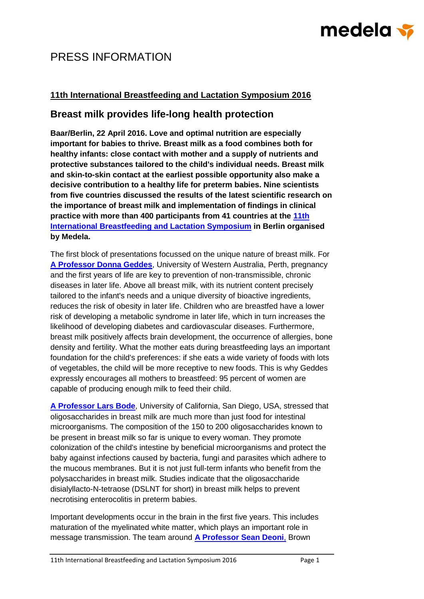# medela <del>v</del>

### PRESS INFORMATION

#### **11th International Breastfeeding and Lactation Symposium 2016**

### **Breast milk provides life-long health protection**

**Baar/Berlin, 22 April 2016. Love and optimal nutrition are especially important for babies to thrive. Breast milk as a food combines both for healthy infants: close contact with mother and a supply of nutrients and protective substances tailored to the child's individual needs. Breast milk and skin-to-skin contact at the earliest possible opportunity also make a decisive contribution to a healthy life for preterm babies. Nine scientists from five countries discussed the results of the latest scientific research on the importance of breast milk and implementation of findings in clinical practice with more than 400 participants from 41 countries at the [11th](https://www.medela.com/breastfeeding-professionals/news-events/congress-2016)  [International Breastfeeding and Lactation Symposium](https://www.medela.com/breastfeeding-professionals/news-events/congress-2016) in Berlin organised by Medela.**

The first block of presentations focussed on the unique nature of breast milk. For **[A Professor Donna Geddes](https://www.medela.com/breastfeeding-professionals/news-events/congress-2016/speakers/donna-geddes-)**, University of Western Australia, Perth, pregnancy and the first years of life are key to prevention of non-transmissible, chronic diseases in later life. Above all breast milk, with its nutrient content precisely tailored to the infant's needs and a unique diversity of bioactive ingredients, reduces the risk of obesity in later life. Children who are breastfed have a lower risk of developing a metabolic syndrome in later life, which in turn increases the likelihood of developing diabetes and cardiovascular diseases. Furthermore, breast milk positively affects brain development, the occurrence of allergies, bone density and fertility. What the mother eats during breastfeeding lays an important foundation for the child's preferences: if she eats a wide variety of foods with lots of vegetables, the child will be more receptive to new foods. This is why Geddes expressly encourages all mothers to breastfeed: 95 percent of women are capable of producing enough milk to feed their child.

**[A Professor Lars Bode](https://www.medela.com/breastfeeding-professionals/news-events/congress-2016/speakers/lars-bode)**, University of California, San Diego, USA, stressed that oligosaccharides in breast milk are much more than just food for intestinal microorganisms. The composition of the 150 to 200 oligosaccharides known to be present in breast milk so far is unique to every woman. They promote colonization of the child's intestine by beneficial microorganisms and protect the baby against infections caused by bacteria, fungi and parasites which adhere to the mucous membranes. But it is not just full-term infants who benefit from the polysaccharides in breast milk. Studies indicate that the oligosaccharide disialyllacto-N-tetraose (DSLNT for short) in breast milk helps to prevent necrotising enterocolitis in preterm babies.

Important developments occur in the brain in the first five years. This includes maturation of the myelinated white matter, which plays an important role in message transmission. The team around **[A Professor Sean Deoni](https://www.medela.com/breastfeeding-professionals/news-events/congress-2016/speakers/sean-deoni)**, Brown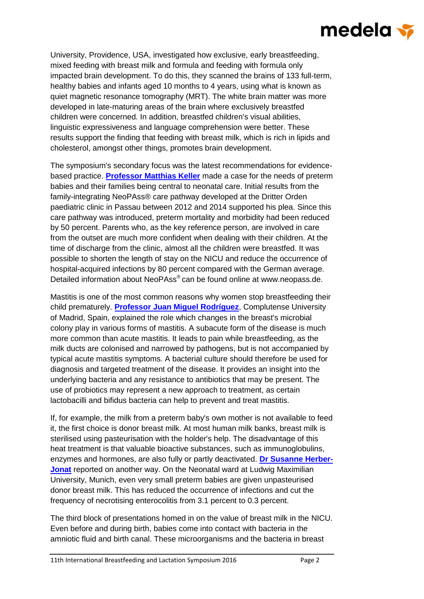# medela <del>v</del>

University, Providence, USA, investigated how exclusive, early breastfeeding, mixed feeding with breast milk and formula and feeding with formula only impacted brain development. To do this, they scanned the brains of 133 full-term, healthy babies and infants aged 10 months to 4 years, using what is known as quiet magnetic resonance tomography (MRT). The white brain matter was more developed in late-maturing areas of the brain where exclusively breastfed children were concerned. In addition, breastfed children's visual abilities, linguistic expressiveness and language comprehension were better. These results support the finding that feeding with breast milk, which is rich in lipids and cholesterol, amongst other things, promotes brain development.

The symposium's secondary focus was the latest recommendations for evidencebased practice. **[Professor Matthias Keller](https://www.medela.com/breastfeeding-professionals/news-events/congress-2016/speakers/matthias-keller)** made a case for the needs of preterm babies and their families being central to neonatal care. Initial results from the family-integrating NeoPAss® care pathway developed at the Dritter Orden paediatric clinic in Passau between 2012 and 2014 supported his plea. Since this care pathway was introduced, preterm mortality and morbidity had been reduced by 50 percent. Parents who, as the key reference person, are involved in care from the outset are much more confident when dealing with their children. At the time of discharge from the clinic, almost all the children were breastfed. It was possible to shorten the length of stay on the NICU and reduce the occurrence of hospital-acquired infections by 80 percent compared with the German average. Detailed information about NeoPAss® can be found online at [www.neopass.de.](http://www.neopass.de/)

Mastitis is one of the most common reasons why women stop breastfeeding their child prematurely. **[Professor Juan Miguel Rodríguez](https://www.medela.com/breastfeeding-professionals/news-events/congress-2016/speakers/juan-miguel-rodriguez)**, Complutense University of Madrid, Spain, explained the role which changes in the breast's microbial colony play in various forms of mastitis. A subacute form of the disease is much more common than acute mastitis. It leads to pain while breastfeeding, as the milk ducts are colonised and narrowed by pathogens, but is not accompanied by typical acute mastitis symptoms. A bacterial culture should therefore be used for diagnosis and targeted treatment of the disease. It provides an insight into the underlying bacteria and any resistance to antibiotics that may be present. The use of probiotics may represent a new approach to treatment, as certain lactobacilli and bifidus bacteria can help to prevent and treat mastitis.

If, for example, the milk from a preterm baby's own mother is not available to feed it, the first choice is donor breast milk. At most human milk banks, breast milk is sterilised using pasteurisation with the holder's help. The disadvantage of this heat treatment is that valuable bioactive substances, such as immunoglobulins, enzymes and hormones, are also fully or partly deactivated. **[Dr Susanne Herber-](https://www.medela.com/breastfeeding-professionals/news-events/congress-2016/speakers/susanne-herber-jonat)[Jonat](https://www.medela.com/breastfeeding-professionals/news-events/congress-2016/speakers/susanne-herber-jonat)** reported on another way. On the Neonatal ward at Ludwig Maximilian University, Munich, even very small preterm babies are given unpasteurised donor breast milk. This has reduced the occurrence of infections and cut the frequency of necrotising enterocolitis from 3.1 percent to 0.3 percent.

The third block of presentations homed in on the value of breast milk in the NICU. Even before and during birth, babies come into contact with bacteria in the amniotic fluid and birth canal. These microorganisms and the bacteria in breast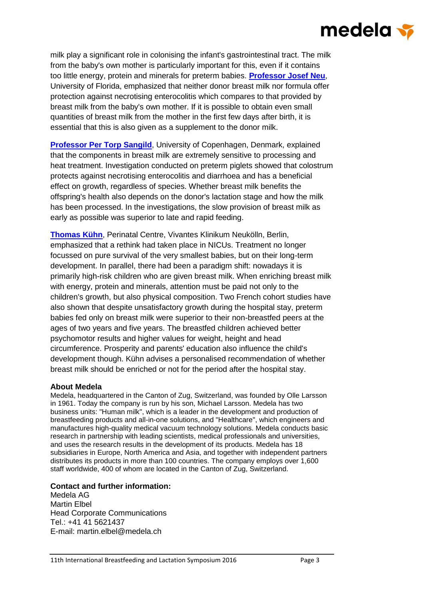# medela <del>v</del>

milk play a significant role in colonising the infant's gastrointestinal tract. The milk from the baby's own mother is particularly important for this, even if it contains too little energy, protein and minerals for preterm babies. **[Professor Josef Neu](https://www.medela.com/breastfeeding-professionals/news-events/congress-2016/speakers/josef-neu)**, University of Florida, emphasized that neither donor breast milk nor formula offer protection against necrotising enterocolitis which compares to that provided by breast milk from the baby's own mother. If it is possible to obtain even small quantities of breast milk from the mother in the first few days after birth, it is essential that this is also given as a supplement to the donor milk.

**[Professor Per Torp Sangild](https://www.medela.com/breastfeeding-professionals/news-events/congress-2016/speakers/per-t-sangild)**, University of Copenhagen, Denmark, explained that the components in breast milk are extremely sensitive to processing and heat treatment. Investigation conducted on preterm piglets showed that colostrum protects against necrotising enterocolitis and diarrhoea and has a beneficial effect on growth, regardless of species. Whether breast milk benefits the offspring's health also depends on the donor's lactation stage and how the milk has been processed. In the investigations, the slow provision of breast milk as early as possible was superior to late and rapid feeding.

**[Thomas Kühn](https://www.medela.com/breastfeeding-professionals/news-events/congress-2016/speakers/thomas-kuehn)**, Perinatal Centre, Vivantes Klinikum Neukölln, Berlin, emphasized that a rethink had taken place in NICUs. Treatment no longer focussed on pure survival of the very smallest babies, but on their long-term development. In parallel, there had been a paradigm shift: nowadays it is primarily high-risk children who are given breast milk. When enriching breast milk with energy, protein and minerals, attention must be paid not only to the children's growth, but also physical composition. Two French cohort studies have also shown that despite unsatisfactory growth during the hospital stay, preterm babies fed only on breast milk were superior to their non-breastfed peers at the ages of two years and five years. The breastfed children achieved better psychomotor results and higher values for weight, height and head circumference. Prosperity and parents' education also influence the child's development though. Kühn advises a personalised recommendation of whether breast milk should be enriched or not for the period after the hospital stay.

#### **About Medela**

Medela, headquartered in the Canton of Zug, Switzerland, was founded by Olle Larsson in 1961. Today the company is run by his son, Michael Larsson. Medela has two business units: "Human milk", which is a leader in the development and production of breastfeeding products and all-in-one solutions, and "Healthcare", which engineers and manufactures high-quality medical vacuum technology solutions. Medela conducts basic research in partnership with leading scientists, medical professionals and universities, and uses the research results in the development of its products. Medela has 18 subsidiaries in Europe, North America and Asia, and together with independent partners distributes its products in more than 100 countries. The company employs over 1,600 staff worldwide, 400 of whom are located in the Canton of Zug, Switzerland.

#### **Contact and further information:**

Medela AG Martin Elbel Head Corporate Communications Tel.: +41 41 5621437 E-mail: [martin.elbel@medela.ch](mailto:martin.elbel@medela.ch)